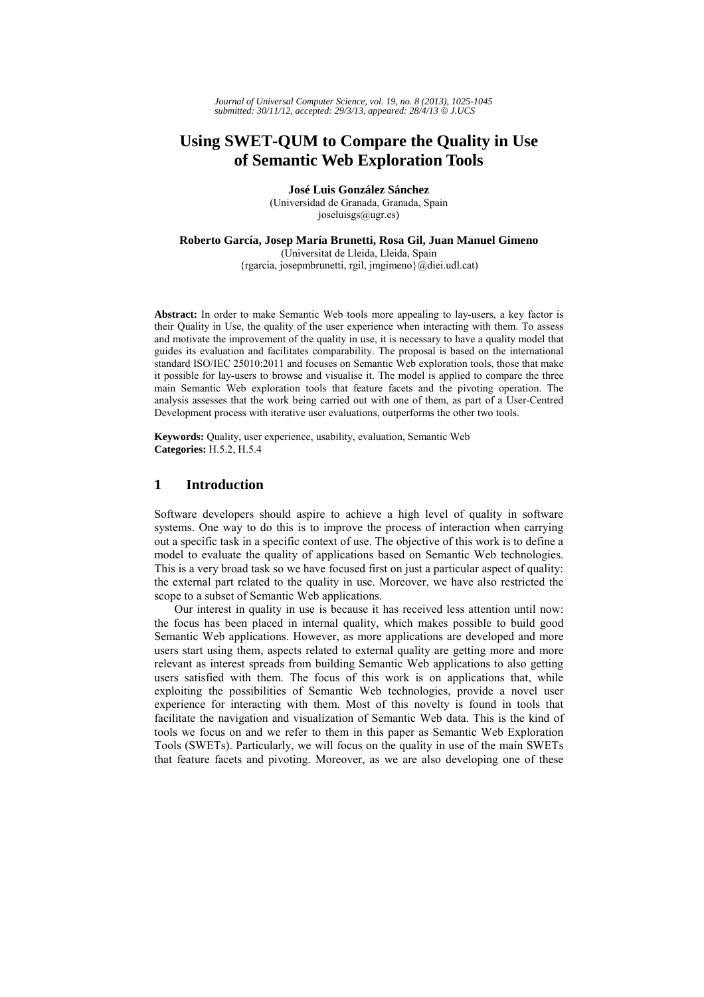# **Using SWET-QUM to Compare the Quality in Use of Semantic Web Exploration Tools**

**José Luis González Sánchez**  (Universidad de Granada, Granada, Spain joseluisgs@ugr.es)

**Roberto García, Josep María Brunetti, Rosa Gil, Juan Manuel Gimeno** (Universitat de Lleida, Lleida, Spain {rgarcia, josepmbrunetti, rgil, jmgimeno}@diei.udl.cat)

**Abstract:** In order to make Semantic Web tools more appealing to lay-users, a key factor is their Quality in Use, the quality of the user experience when interacting with them. To assess and motivate the improvement of the quality in use, it is necessary to have a quality model that guides its evaluation and facilitates comparability. The proposal is based on the international standard ISO/IEC 25010:2011 and focuses on Semantic Web exploration tools, those that make it possible for lay-users to browse and visualise it. The model is applied to compare the three main Semantic Web exploration tools that feature facets and the pivoting operation. The analysis assesses that the work being carried out with one of them, as part of a User-Centred Development process with iterative user evaluations, outperforms the other two tools.

**Keywords:** Quality, user experience, usability, evaluation, Semantic Web **Categories:** H.5.2, H.5.4

# **1 Introduction**

Software developers should aspire to achieve a high level of quality in software systems. One way to do this is to improve the process of interaction when carrying out a specific task in a specific context of use. The objective of this work is to define a model to evaluate the quality of applications based on Semantic Web technologies. This is a very broad task so we have focused first on just a particular aspect of quality: the external part related to the quality in use. Moreover, we have also restricted the scope to a subset of Semantic Web applications.

Our interest in quality in use is because it has received less attention until now: the focus has been placed in internal quality, which makes possible to build good Semantic Web applications. However, as more applications are developed and more users start using them, aspects related to external quality are getting more and more relevant as interest spreads from building Semantic Web applications to also getting users satisfied with them. The focus of this work is on applications that, while exploiting the possibilities of Semantic Web technologies, provide a novel user experience for interacting with them. Most of this novelty is found in tools that facilitate the navigation and visualization of Semantic Web data. This is the kind of tools we focus on and we refer to them in this paper as Semantic Web Exploration Tools (SWETs). Particularly, we will focus on the quality in use of the main SWETs that feature facets and pivoting. Moreover, as we are also developing one of these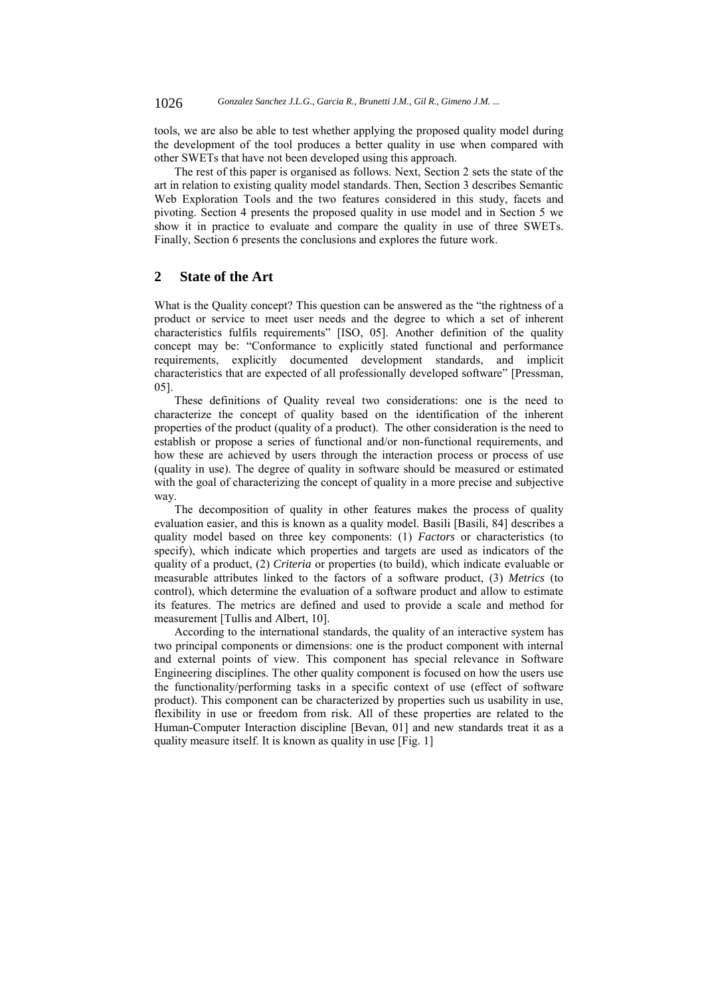tools, we are also be able to test whether applying the proposed quality model during the development of the tool produces a better quality in use when compared with other SWETs that have not been developed using this approach.

The rest of this paper is organised as follows. Next, Section 2 sets the state of the art in relation to existing quality model standards. Then, Section 3 describes Semantic Web Exploration Tools and the two features considered in this study, facets and pivoting. Section 4 presents the proposed quality in use model and in Section 5 we show it in practice to evaluate and compare the quality in use of three SWETs. Finally, Section 6 presents the conclusions and explores the future work.

## **2 State of the Art**

What is the Quality concept? This question can be answered as the "the rightness of a product or service to meet user needs and the degree to which a set of inherent characteristics fulfils requirements" [ISO, 05]. Another definition of the quality concept may be: "Conformance to explicitly stated functional and performance requirements, explicitly documented development standards, and implicit characteristics that are expected of all professionally developed software" [Pressman, 05].

These definitions of Quality reveal two considerations: one is the need to characterize the concept of quality based on the identification of the inherent properties of the product (quality of a product). The other consideration is the need to establish or propose a series of functional and/or non-functional requirements, and how these are achieved by users through the interaction process or process of use (quality in use). The degree of quality in software should be measured or estimated with the goal of characterizing the concept of quality in a more precise and subjective way.

The decomposition of quality in other features makes the process of quality evaluation easier, and this is known as a quality model. Basili [Basili, 84] describes a quality model based on three key components: (1) *Factors* or characteristics (to specify), which indicate which properties and targets are used as indicators of the quality of a product, (2) *Criteria* or properties (to build), which indicate evaluable or measurable attributes linked to the factors of a software product, (3) *Metrics* (to control), which determine the evaluation of a software product and allow to estimate its features. The metrics are defined and used to provide a scale and method for measurement [Tullis and Albert, 10].

According to the international standards, the quality of an interactive system has two principal components or dimensions: one is the product component with internal and external points of view. This component has special relevance in Software Engineering disciplines. The other quality component is focused on how the users use the functionality/performing tasks in a specific context of use (effect of software product). This component can be characterized by properties such us usability in use, flexibility in use or freedom from risk. All of these properties are related to the Human-Computer Interaction discipline [Bevan, 01] and new standards treat it as a quality measure itself. It is known as quality in use [Fig. 1]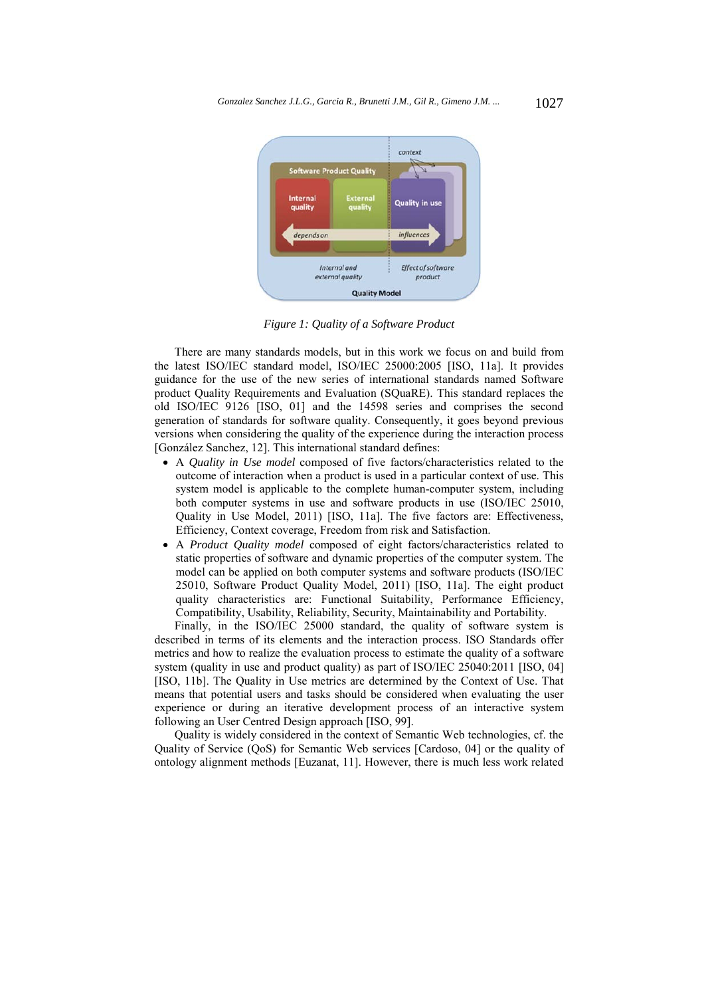

*Figure 1: Quality of a Software Product* 

There are many standards models, but in this work we focus on and build from the latest ISO/IEC standard model, ISO/IEC 25000:2005 [ISO, 11a]. It provides guidance for the use of the new series of international standards named Software product Quality Requirements and Evaluation (SQuaRE). This standard replaces the old ISO/IEC 9126 [ISO, 01] and the 14598 series and comprises the second generation of standards for software quality. Consequently, it goes beyond previous versions when considering the quality of the experience during the interaction process [González Sanchez, 12]. This international standard defines:

- A *Quality in Use model* composed of five factors/characteristics related to the outcome of interaction when a product is used in a particular context of use. This system model is applicable to the complete human-computer system, including both computer systems in use and software products in use (ISO/IEC 25010, Quality in Use Model, 2011) [ISO, 11a]. The five factors are: Effectiveness, Efficiency, Context coverage, Freedom from risk and Satisfaction.
- A *Product Quality model* composed of eight factors/characteristics related to static properties of software and dynamic properties of the computer system. The model can be applied on both computer systems and software products (ISO/IEC 25010, Software Product Quality Model, 2011) [ISO, 11a]. The eight product quality characteristics are: Functional Suitability, Performance Efficiency, Compatibility, Usability, Reliability, Security, Maintainability and Portability.

Finally, in the ISO/IEC 25000 standard, the quality of software system is described in terms of its elements and the interaction process. ISO Standards offer metrics and how to realize the evaluation process to estimate the quality of a software system (quality in use and product quality) as part of ISO/IEC 25040:2011 [ISO, 04] [ISO, 11b]. The Quality in Use metrics are determined by the Context of Use. That means that potential users and tasks should be considered when evaluating the user experience or during an iterative development process of an interactive system following an User Centred Design approach [ISO, 99].

Quality is widely considered in the context of Semantic Web technologies, cf. the Quality of Service (QoS) for Semantic Web services [Cardoso, 04] or the quality of ontology alignment methods [Euzanat, 11]. However, there is much less work related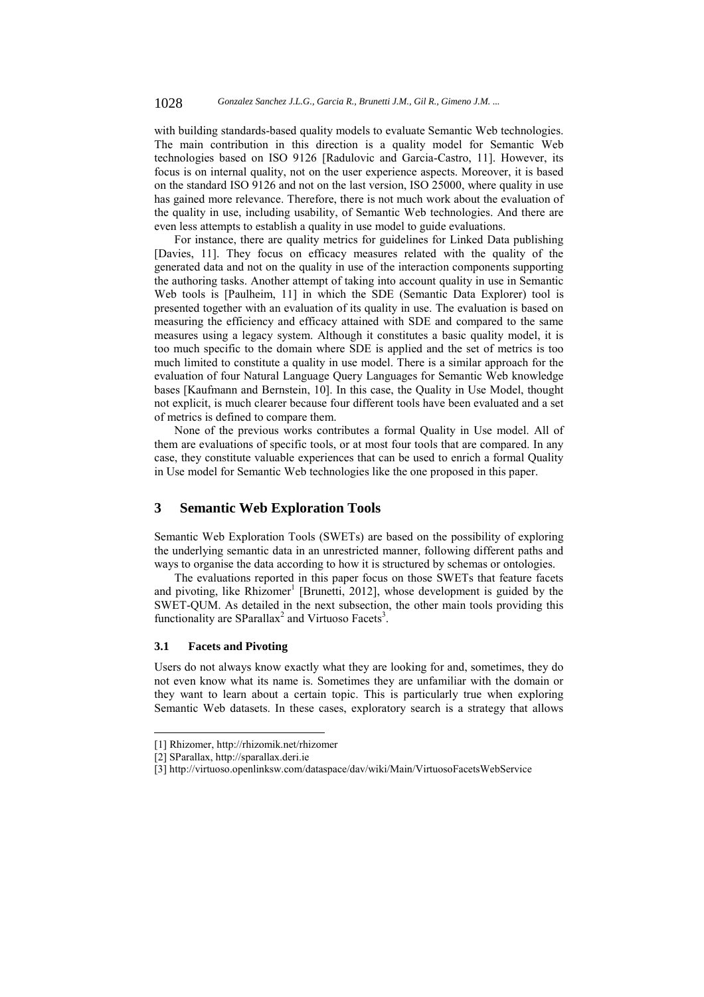with building standards-based quality models to evaluate Semantic Web technologies. The main contribution in this direction is a quality model for Semantic Web technologies based on ISO 9126 [Radulovic and Garcia-Castro, 11]. However, its focus is on internal quality, not on the user experience aspects. Moreover, it is based on the standard ISO 9126 and not on the last version, ISO 25000, where quality in use has gained more relevance. Therefore, there is not much work about the evaluation of the quality in use, including usability, of Semantic Web technologies. And there are even less attempts to establish a quality in use model to guide evaluations.

For instance, there are quality metrics for guidelines for Linked Data publishing [Davies, 11]. They focus on efficacy measures related with the quality of the generated data and not on the quality in use of the interaction components supporting the authoring tasks. Another attempt of taking into account quality in use in Semantic Web tools is [Paulheim, 11] in which the SDE (Semantic Data Explorer) tool is presented together with an evaluation of its quality in use. The evaluation is based on measuring the efficiency and efficacy attained with SDE and compared to the same measures using a legacy system. Although it constitutes a basic quality model, it is too much specific to the domain where SDE is applied and the set of metrics is too much limited to constitute a quality in use model. There is a similar approach for the evaluation of four Natural Language Query Languages for Semantic Web knowledge bases [Kaufmann and Bernstein, 10]. In this case, the Quality in Use Model, thought not explicit, is much clearer because four different tools have been evaluated and a set of metrics is defined to compare them.

None of the previous works contributes a formal Quality in Use model. All of them are evaluations of specific tools, or at most four tools that are compared. In any case, they constitute valuable experiences that can be used to enrich a formal Quality in Use model for Semantic Web technologies like the one proposed in this paper.

## **3 Semantic Web Exploration Tools**

Semantic Web Exploration Tools (SWETs) are based on the possibility of exploring the underlying semantic data in an unrestricted manner, following different paths and ways to organise the data according to how it is structured by schemas or ontologies.

The evaluations reported in this paper focus on those SWETs that feature facets and pivoting, like  $R$ hizomer<sup>1</sup> [Brunetti, 2012], whose development is guided by the SWET-QUM. As detailed in the next subsection, the other main tools providing this functionality are SParallax<sup>2</sup> and Virtuoso Facets<sup>3</sup>.

#### **3.1 Facets and Pivoting**

l

Users do not always know exactly what they are looking for and, sometimes, they do not even know what its name is. Sometimes they are unfamiliar with the domain or they want to learn about a certain topic. This is particularly true when exploring Semantic Web datasets. In these cases, exploratory search is a strategy that allows

<sup>[1]</sup> Rhizomer, http://rhizomik.net/rhizomer

<sup>[2]</sup> SParallax, http://sparallax.deri.ie

<sup>[3]</sup> http://virtuoso.openlinksw.com/dataspace/dav/wiki/Main/VirtuosoFacetsWebService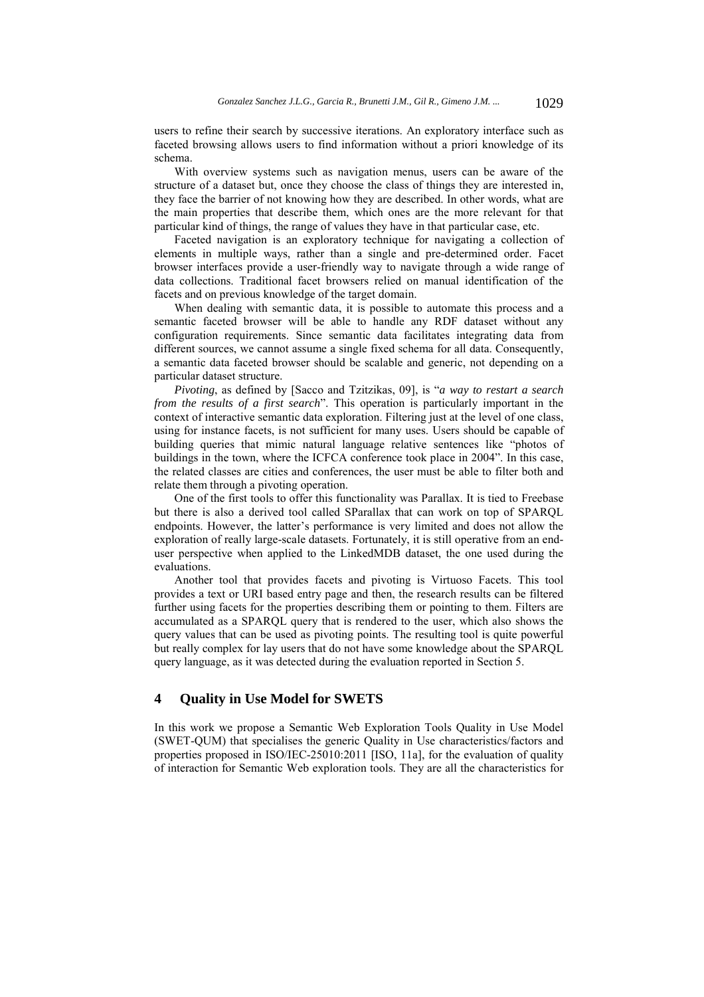users to refine their search by successive iterations. An exploratory interface such as faceted browsing allows users to find information without a priori knowledge of its schema.

With overview systems such as navigation menus, users can be aware of the structure of a dataset but, once they choose the class of things they are interested in, they face the barrier of not knowing how they are described. In other words, what are the main properties that describe them, which ones are the more relevant for that particular kind of things, the range of values they have in that particular case, etc.

Faceted navigation is an exploratory technique for navigating a collection of elements in multiple ways, rather than a single and pre-determined order. Facet browser interfaces provide a user-friendly way to navigate through a wide range of data collections. Traditional facet browsers relied on manual identification of the facets and on previous knowledge of the target domain.

When dealing with semantic data, it is possible to automate this process and a semantic faceted browser will be able to handle any RDF dataset without any configuration requirements. Since semantic data facilitates integrating data from different sources, we cannot assume a single fixed schema for all data. Consequently, a semantic data faceted browser should be scalable and generic, not depending on a particular dataset structure.

*Pivoting*, as defined by [Sacco and Tzitzikas, 09], is "*a way to restart a search from the results of a first search*". This operation is particularly important in the context of interactive semantic data exploration. Filtering just at the level of one class, using for instance facets, is not sufficient for many uses. Users should be capable of building queries that mimic natural language relative sentences like "photos of buildings in the town, where the ICFCA conference took place in 2004". In this case, the related classes are cities and conferences, the user must be able to filter both and relate them through a pivoting operation.

One of the first tools to offer this functionality was Parallax. It is tied to Freebase but there is also a derived tool called SParallax that can work on top of SPARQL endpoints. However, the latter's performance is very limited and does not allow the exploration of really large-scale datasets. Fortunately, it is still operative from an enduser perspective when applied to the LinkedMDB dataset, the one used during the evaluations.

Another tool that provides facets and pivoting is Virtuoso Facets. This tool provides a text or URI based entry page and then, the research results can be filtered further using facets for the properties describing them or pointing to them. Filters are accumulated as a SPARQL query that is rendered to the user, which also shows the query values that can be used as pivoting points. The resulting tool is quite powerful but really complex for lay users that do not have some knowledge about the SPARQL query language, as it was detected during the evaluation reported in Section 5.

# **4 Quality in Use Model for SWETS**

In this work we propose a Semantic Web Exploration Tools Quality in Use Model (SWET-QUM) that specialises the generic Quality in Use characteristics/factors and properties proposed in ISO/IEC-25010:2011 [ISO, 11a], for the evaluation of quality of interaction for Semantic Web exploration tools. They are all the characteristics for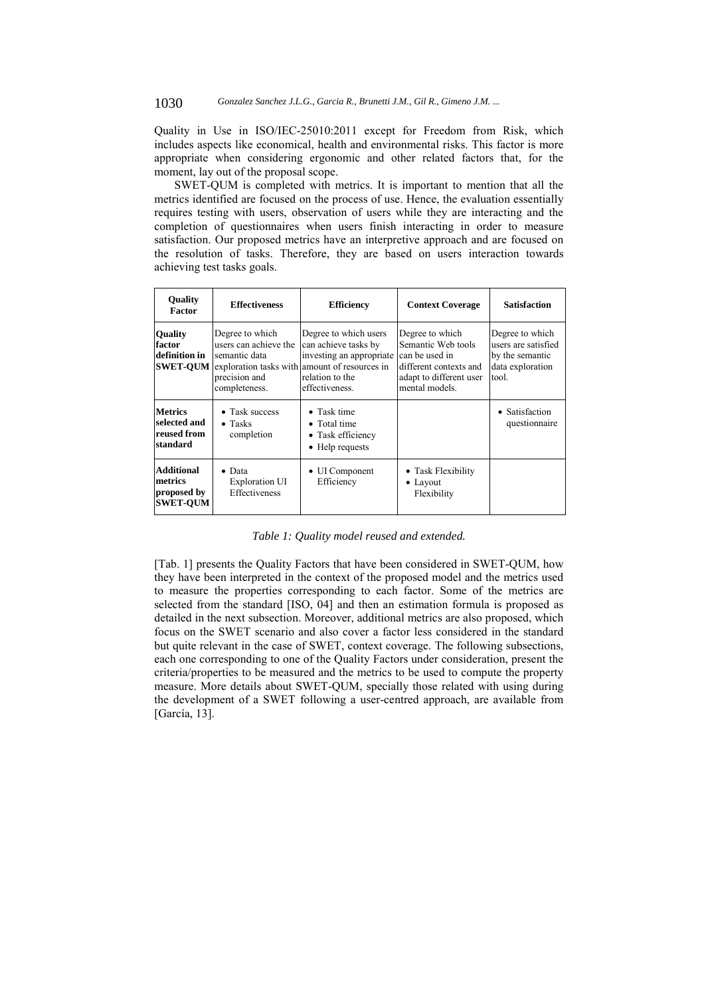Quality in Use in ISO/IEC-25010:2011 except for Freedom from Risk, which includes aspects like economical, health and environmental risks. This factor is more appropriate when considering ergonomic and other related factors that, for the moment, lay out of the proposal scope.

SWET-QUM is completed with metrics. It is important to mention that all the metrics identified are focused on the process of use. Hence, the evaluation essentially requires testing with users, observation of users while they are interacting and the completion of questionnaires when users finish interacting in order to measure satisfaction. Our proposed metrics have an interpretive approach and are focused on the resolution of tasks. Therefore, they are based on users interaction towards achieving test tasks goals.

| <b>Quality</b><br>Factor                                       | <b>Effectiveness</b>                                                                        | <b>Efficiency</b>                                                                                                                                                               | <b>Context Coverage</b>                                                                                                        | <b>Satisfaction</b>                                                                    |
|----------------------------------------------------------------|---------------------------------------------------------------------------------------------|---------------------------------------------------------------------------------------------------------------------------------------------------------------------------------|--------------------------------------------------------------------------------------------------------------------------------|----------------------------------------------------------------------------------------|
| <b>Ouality</b><br>factor<br>definition in                      | Degree to which<br>users can achieve the<br>semantic data<br>precision and<br>completeness. | Degree to which users<br>can achieve tasks by<br>investing an appropriate<br><b>SWET-QUM</b> exploration tasks with amount of resources in<br>relation to the<br>effectiveness. | Degree to which<br>Semantic Web tools<br>can be used in<br>different contexts and<br>adapt to different user<br>mental models. | Degree to which<br>users are satisfied<br>by the semantic<br>data exploration<br>tool. |
| <b>Metrics</b><br>selected and<br>reused from<br>standard      | • Task success<br>$\bullet$ Tasks<br>completion                                             | $\bullet$ Task time<br>• Total time<br>• Task efficiency<br>• Help requests                                                                                                     |                                                                                                                                | • Satisfaction<br>questionnaire                                                        |
| <b>Additional</b><br>metrics<br>proposed by<br><b>SWET-OUM</b> | $\bullet$ Data<br><b>Exploration UI</b><br>Effectiveness                                    | • UI Component<br>Efficiency                                                                                                                                                    | • Task Flexibility<br>$\bullet$ Layout<br>Flexibility                                                                          |                                                                                        |

*Table 1: Quality model reused and extended.* 

[Tab. 1] presents the Quality Factors that have been considered in SWET-QUM, how they have been interpreted in the context of the proposed model and the metrics used to measure the properties corresponding to each factor. Some of the metrics are selected from the standard [ISO, 04] and then an estimation formula is proposed as detailed in the next subsection. Moreover, additional metrics are also proposed, which focus on the SWET scenario and also cover a factor less considered in the standard but quite relevant in the case of SWET, context coverage. The following subsections, each one corresponding to one of the Quality Factors under consideration, present the criteria/properties to be measured and the metrics to be used to compute the property measure. More details about SWET-QUM, specially those related with using during the development of a SWET following a user-centred approach, are available from [García, 13].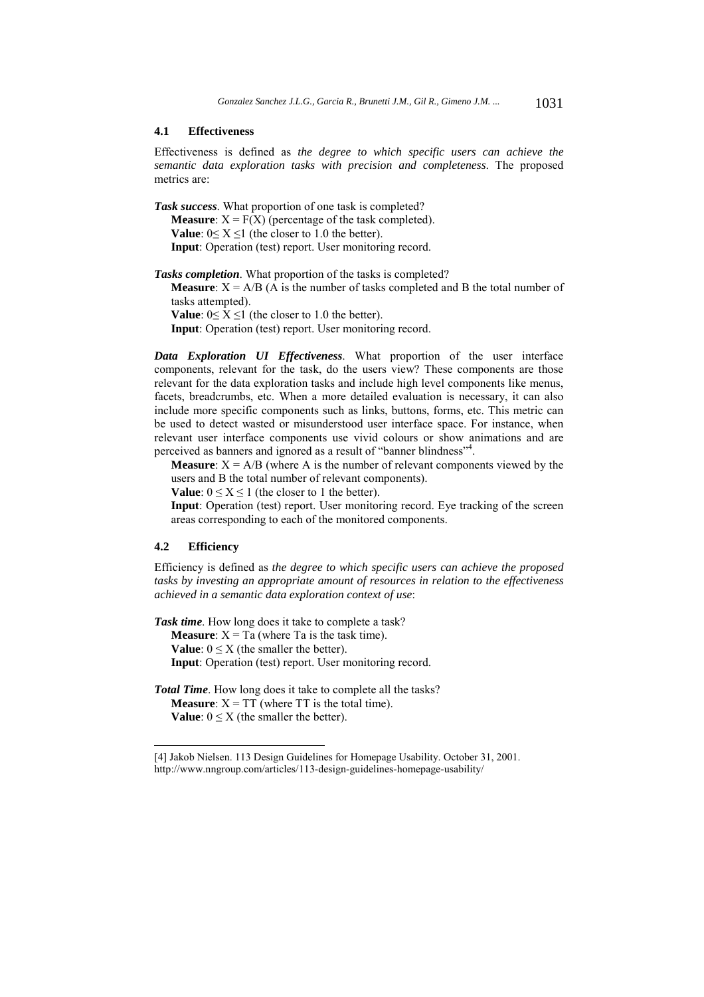#### **4.1 Effectiveness**

Effectiveness is defined as *the degree to which specific users can achieve the semantic data exploration tasks with precision and completeness*. The proposed metrics are:

*Task success*. What proportion of one task is completed? **Measure**:  $X = F(X)$  (percentage of the task completed). **Value**:  $0 \le X \le 1$  (the closer to 1.0 the better). **Input**: Operation (test) report. User monitoring record.

*Tasks completion*. What proportion of the tasks is completed?

**Measure**:  $X = A/B$  (A is the number of tasks completed and B the total number of tasks attempted).

**Value**:  $0 \le X \le 1$  (the closer to 1.0 the better).

**Input**: Operation (test) report. User monitoring record.

*Data Exploration UI Effectiveness*. What proportion of the user interface components, relevant for the task, do the users view? These components are those relevant for the data exploration tasks and include high level components like menus, facets, breadcrumbs, etc. When a more detailed evaluation is necessary, it can also include more specific components such as links, buttons, forms, etc. This metric can be used to detect wasted or misunderstood user interface space. For instance, when relevant user interface components use vivid colours or show animations and are perceived as banners and ignored as a result of "banner blindness"<sup>4</sup>.

**Measure**:  $X = A/B$  (where A is the number of relevant components viewed by the users and B the total number of relevant components).

**Value**:  $0 \le X \le 1$  (the closer to 1 the better).

**Input**: Operation (test) report. User monitoring record. Eye tracking of the screen areas corresponding to each of the monitored components.

#### **4.2 Efficiency**

l

Efficiency is defined as *the degree to which specific users can achieve the proposed tasks by investing an appropriate amount of resources in relation to the effectiveness achieved in a semantic data exploration context of use*:

*Task time*. How long does it take to complete a task? **Measure**:  $X = Ta$  (where Ta is the task time). **Value**:  $0 \le X$  (the smaller the better). **Input**: Operation (test) report. User monitoring record.

*Total Time*. How long does it take to complete all the tasks? **Measure**:  $X = TT$  (where  $TT$  is the total time). **Value**:  $0 \leq X$  (the smaller the better).

<sup>[4]</sup> Jakob Nielsen. 113 Design Guidelines for Homepage Usability. October 31, 2001. http://www.nngroup.com/articles/113-design-guidelines-homepage-usability/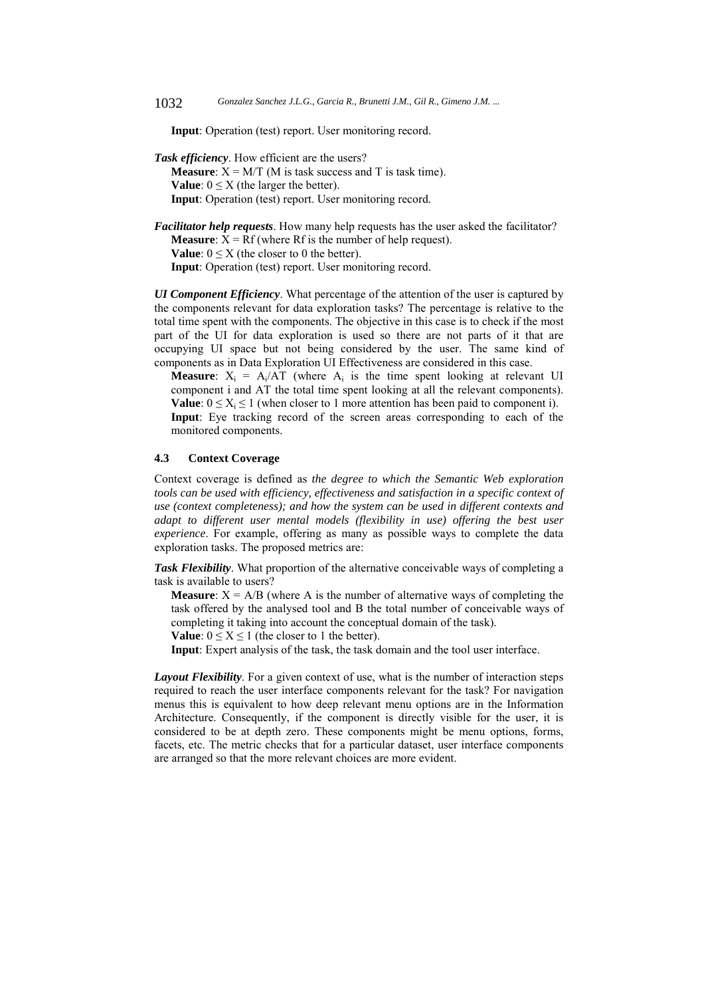**Input**: Operation (test) report. User monitoring record.

*Task efficiency*. How efficient are the users? **Measure**:  $X = M/T$  (M is task success and T is task time). **Value**:  $0 \leq X$  (the larger the better). **Input**: Operation (test) report. User monitoring record.

*Facilitator help requests*. How many help requests has the user asked the facilitator? **Measure**:  $X = Rf$  (where Rf is the number of help request). **Value**:  $0 \le X$  (the closer to 0 the better). **Input**: Operation (test) report. User monitoring record.

*UI Component Efficiency*. What percentage of the attention of the user is captured by the components relevant for data exploration tasks? The percentage is relative to the total time spent with the components. The objective in this case is to check if the most part of the UI for data exploration is used so there are not parts of it that are occupying UI space but not being considered by the user. The same kind of components as in Data Exploration UI Effectiveness are considered in this case.

**Measure**:  $X_i = A_i/AT$  (where  $A_i$  is the time spent looking at relevant UI component i and AT the total time spent looking at all the relevant components). **Value**:  $0 \le X_i \le 1$  (when closer to 1 more attention has been paid to component i). **Input**: Eye tracking record of the screen areas corresponding to each of the monitored components.

## **4.3 Context Coverage**

Context coverage is defined as *the degree to which the Semantic Web exploration tools can be used with efficiency, effectiveness and satisfaction in a specific context of use (context completeness); and how the system can be used in different contexts and*  adapt to different user mental models (flexibility in use) offering the best user *experience*. For example, offering as many as possible ways to complete the data exploration tasks. The proposed metrics are:

*Task Flexibility*. What proportion of the alternative conceivable ways of completing a task is available to users?

**Measure**:  $X = A/B$  (where A is the number of alternative ways of completing the task offered by the analysed tool and B the total number of conceivable ways of completing it taking into account the conceptual domain of the task).

**Value**:  $0 \le X \le 1$  (the closer to 1 the better).

**Input**: Expert analysis of the task, the task domain and the tool user interface.

*Layout Flexibility*. For a given context of use, what is the number of interaction steps required to reach the user interface components relevant for the task? For navigation menus this is equivalent to how deep relevant menu options are in the Information Architecture. Consequently, if the component is directly visible for the user, it is considered to be at depth zero. These components might be menu options, forms, facets, etc. The metric checks that for a particular dataset, user interface components are arranged so that the more relevant choices are more evident.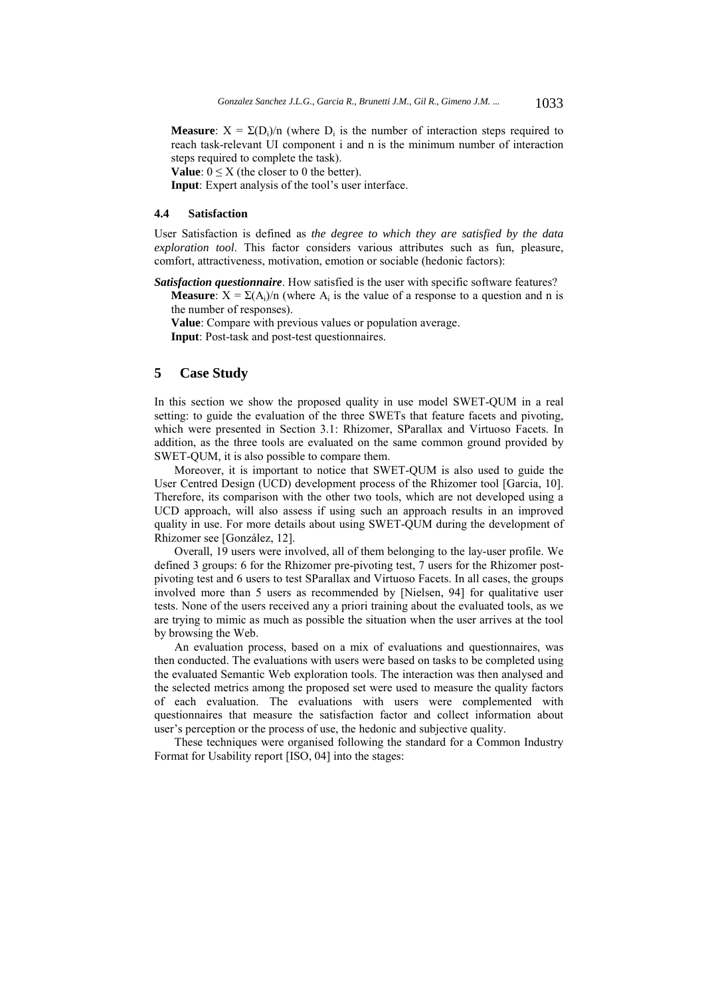**Measure**:  $X = \Sigma(D_i)/n$  (where  $D_i$  is the number of interaction steps required to reach task-relevant UI component i and n is the minimum number of interaction steps required to complete the task).

**Value**:  $0 \leq X$  (the closer to 0 the better).

**Input**: Expert analysis of the tool's user interface.

## **4.4 Satisfaction**

User Satisfaction is defined as *the degree to which they are satisfied by the data exploration tool*. This factor considers various attributes such as fun, pleasure, comfort, attractiveness, motivation, emotion or sociable (hedonic factors):

*Satisfaction questionnaire*. How satisfied is the user with specific software features?

**Measure**:  $X = \Sigma(A_i)/n$  (where A<sub>i</sub> is the value of a response to a question and n is the number of responses).

**Value**: Compare with previous values or population average.

**Input**: Post-task and post-test questionnaires.

## **5 Case Study**

In this section we show the proposed quality in use model SWET-QUM in a real setting: to guide the evaluation of the three SWETs that feature facets and pivoting, which were presented in Section 3.1: Rhizomer, SParallax and Virtuoso Facets. In addition, as the three tools are evaluated on the same common ground provided by SWET-QUM, it is also possible to compare them.

Moreover, it is important to notice that SWET-QUM is also used to guide the User Centred Design (UCD) development process of the Rhizomer tool [Garcia, 10]. Therefore, its comparison with the other two tools, which are not developed using a UCD approach, will also assess if using such an approach results in an improved quality in use. For more details about using SWET-QUM during the development of Rhizomer see [González, 12].

Overall, 19 users were involved, all of them belonging to the lay-user profile. We defined 3 groups: 6 for the Rhizomer pre-pivoting test, 7 users for the Rhizomer postpivoting test and 6 users to test SParallax and Virtuoso Facets. In all cases, the groups involved more than 5 users as recommended by [Nielsen, 94] for qualitative user tests. None of the users received any a priori training about the evaluated tools, as we are trying to mimic as much as possible the situation when the user arrives at the tool by browsing the Web.

An evaluation process, based on a mix of evaluations and questionnaires, was then conducted. The evaluations with users were based on tasks to be completed using the evaluated Semantic Web exploration tools. The interaction was then analysed and the selected metrics among the proposed set were used to measure the quality factors of each evaluation. The evaluations with users were complemented with questionnaires that measure the satisfaction factor and collect information about user's perception or the process of use, the hedonic and subjective quality.

These techniques were organised following the standard for a Common Industry Format for Usability report [ISO, 04] into the stages: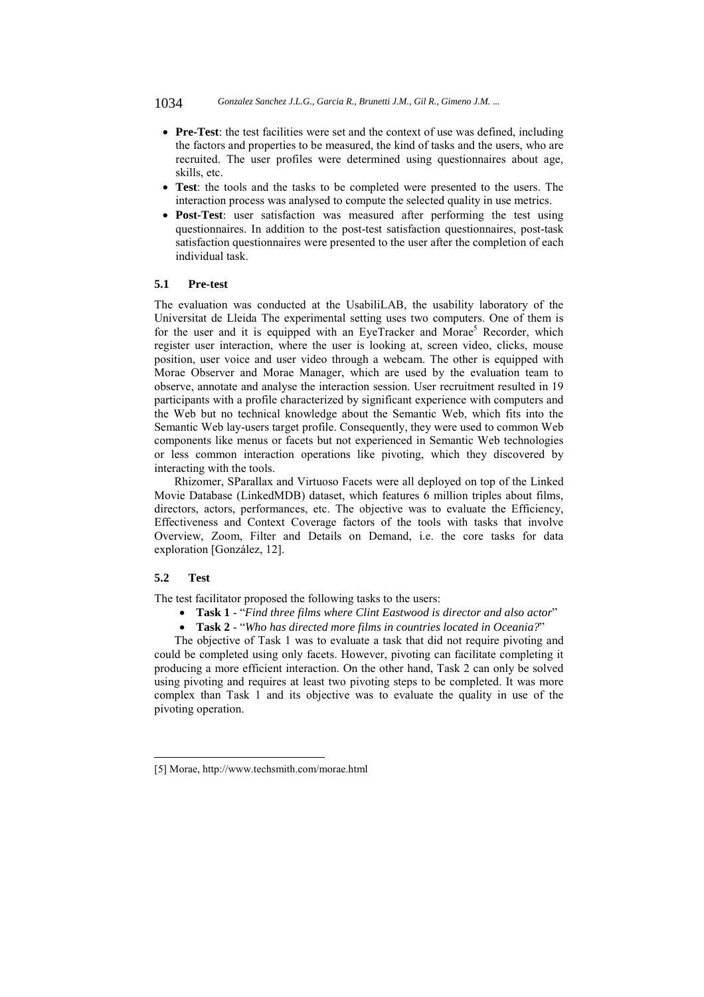1034 *Gonzalez Sanchez J.L.G., Garcia R., Brunetti J.M., Gil R., Gimeno J.M. ...*

- **Pre-Test**: the test facilities were set and the context of use was defined, including the factors and properties to be measured, the kind of tasks and the users, who are recruited. The user profiles were determined using questionnaires about age, skills, etc.
- **Test**: the tools and the tasks to be completed were presented to the users. The interaction process was analysed to compute the selected quality in use metrics.
- **Post-Test**: user satisfaction was measured after performing the test using questionnaires. In addition to the post-test satisfaction questionnaires, post-task satisfaction questionnaires were presented to the user after the completion of each individual task.

## **5.1 Pre-test**

The evaluation was conducted at the UsabiliLAB, the usability laboratory of the Universitat de Lleida The experimental setting uses two computers. One of them is for the user and it is equipped with an EyeTracker and Morae<sup>5</sup> Recorder, which register user interaction, where the user is looking at, screen video, clicks, mouse position, user voice and user video through a webcam. The other is equipped with Morae Observer and Morae Manager, which are used by the evaluation team to observe, annotate and analyse the interaction session. User recruitment resulted in 19 participants with a profile characterized by significant experience with computers and the Web but no technical knowledge about the Semantic Web, which fits into the Semantic Web lay-users target profile. Consequently, they were used to common Web components like menus or facets but not experienced in Semantic Web technologies or less common interaction operations like pivoting, which they discovered by interacting with the tools.

Rhizomer, SParallax and Virtuoso Facets were all deployed on top of the Linked Movie Database (LinkedMDB) dataset, which features 6 million triples about films, directors, actors, performances, etc. The objective was to evaluate the Efficiency, Effectiveness and Context Coverage factors of the tools with tasks that involve Overview, Zoom, Filter and Details on Demand, i.e. the core tasks for data exploration [González, 12].

## **5.2 Test**

l

The test facilitator proposed the following tasks to the users:

- **Task 1** "*Find three films where Clint Eastwood is director and also actor*"
- **Task 2** "*Who has directed more films in countries located in Oceania?*"

The objective of Task 1 was to evaluate a task that did not require pivoting and could be completed using only facets. However, pivoting can facilitate completing it producing a more efficient interaction. On the other hand, Task 2 can only be solved using pivoting and requires at least two pivoting steps to be completed. It was more complex than Task 1 and its objective was to evaluate the quality in use of the pivoting operation.

<sup>[5]</sup> Morae, http://www.techsmith.com/morae.html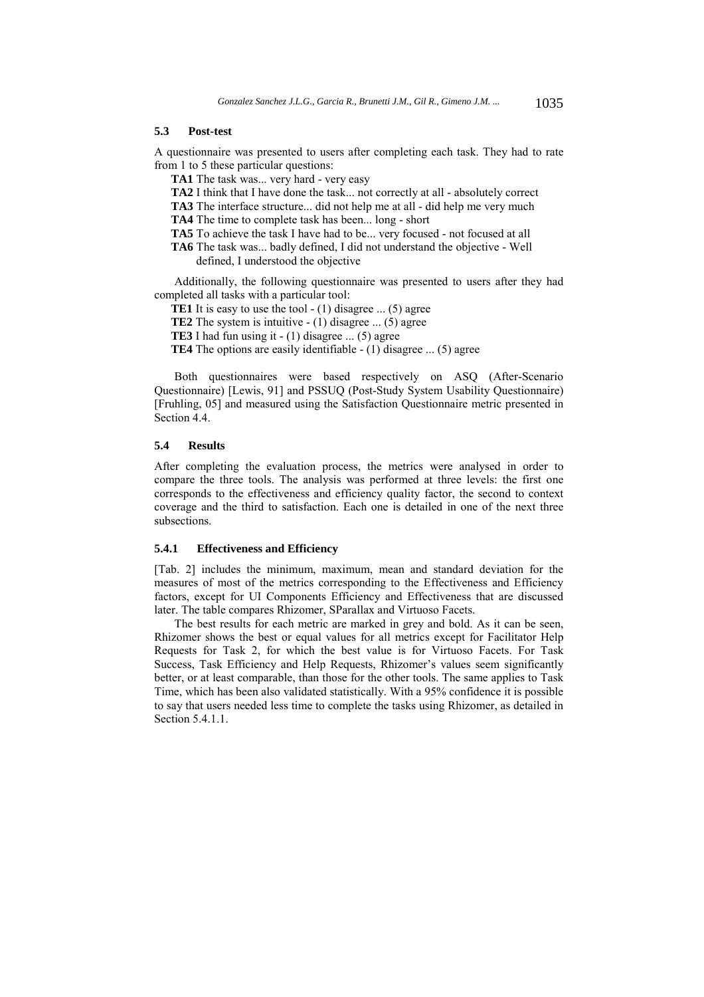#### **5.3 Post-test**

A questionnaire was presented to users after completing each task. They had to rate from 1 to 5 these particular questions:

**TA1** The task was... very hard - very easy

**TA2** I think that I have done the task... not correctly at all - absolutely correct

**TA3** The interface structure... did not help me at all - did help me very much

**TA4** The time to complete task has been... long - short

**TA5** To achieve the task I have had to be... very focused - not focused at all

**TA6** The task was... badly defined, I did not understand the objective - Well defined, I understood the objective

Additionally, the following questionnaire was presented to users after they had completed all tasks with a particular tool:

**TE1** It is easy to use the tool - (1) disagree ... (5) agree

**TE2** The system is intuitive - (1) disagree ... (5) agree

**TE3** I had fun using it  $- (1)$  disagree ... (5) agree

**TE4** The options are easily identifiable - (1) disagree ... (5) agree

Both questionnaires were based respectively on ASQ (After-Scenario Questionnaire) [Lewis, 91] and PSSUQ (Post-Study System Usability Questionnaire) [Fruhling, 05] and measured using the Satisfaction Questionnaire metric presented in Section 4.4.

#### **5.4 Results**

After completing the evaluation process, the metrics were analysed in order to compare the three tools. The analysis was performed at three levels: the first one corresponds to the effectiveness and efficiency quality factor, the second to context coverage and the third to satisfaction. Each one is detailed in one of the next three subsections.

#### **5.4.1 Effectiveness and Efficiency**

[Tab. 2] includes the minimum, maximum, mean and standard deviation for the measures of most of the metrics corresponding to the Effectiveness and Efficiency factors, except for UI Components Efficiency and Effectiveness that are discussed later. The table compares Rhizomer, SParallax and Virtuoso Facets.

The best results for each metric are marked in grey and bold. As it can be seen, Rhizomer shows the best or equal values for all metrics except for Facilitator Help Requests for Task 2, for which the best value is for Virtuoso Facets. For Task Success, Task Efficiency and Help Requests, Rhizomer's values seem significantly better, or at least comparable, than those for the other tools. The same applies to Task Time, which has been also validated statistically. With a 95% confidence it is possible to say that users needed less time to complete the tasks using Rhizomer, as detailed in Section 5.4.1.1.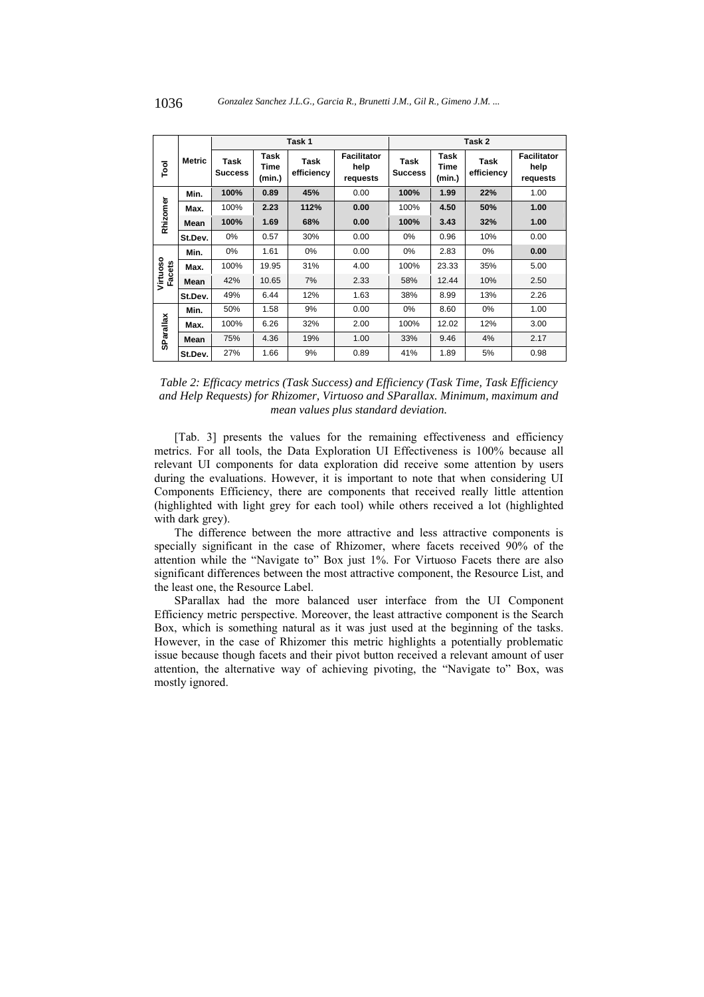|               |               | Task 1                 |                        |                    |                                        | Task 2                 |                        |                    |                                        |
|---------------|---------------|------------------------|------------------------|--------------------|----------------------------------------|------------------------|------------------------|--------------------|----------------------------------------|
| Tool          | <b>Metric</b> | Task<br><b>Success</b> | Task<br>Time<br>(min.) | Task<br>efficiency | <b>Facilitator</b><br>help<br>requests | Task<br><b>Success</b> | Task<br>Time<br>(min.) | Task<br>efficiency | <b>Facilitator</b><br>help<br>requests |
|               | Min.          | 100%                   | 0.89                   | 45%                | 0.00                                   | 100%                   | 1.99                   | 22%                | 1.00                                   |
| Rhizomer      | Max.          | 100%                   | 2.23                   | 112%               | 0.00                                   | 100%                   | 4.50                   | 50%                | 1.00                                   |
|               | Mean          | 100%                   | 1.69                   | 68%                | 0.00                                   | 100%                   | 3.43                   | 32%                | 1.00                                   |
|               | St.Dev.       | 0%                     | 0.57                   | 30%                | 0.00                                   | $0\%$                  | 0.96                   | 10%                | 0.00                                   |
| Virtuoso      | Min.          | 0%                     | 1.61                   | 0%                 | 0.00                                   | $0\%$                  | 2.83                   | 0%                 | 0.00                                   |
|               | Max.          | 100%                   | 19.95                  | 31%                | 4.00                                   | 100%                   | 23.33                  | 35%                | 5.00                                   |
| <b>Facets</b> | Mean          | 42%                    | 10.65                  | 7%                 | 2.33                                   | 58%                    | 12.44                  | 10%                | 2.50                                   |
|               | St.Dev.       | 49%                    | 6.44                   | 12%                | 1.63                                   | 38%                    | 8.99                   | 13%                | 2.26                                   |
| SParallax     | Min.          | 50%                    | 1.58                   | 9%                 | 0.00                                   | 0%                     | 8.60                   | $0\%$              | 1.00                                   |
|               | Max.          | 100%                   | 6.26                   | 32%                | 2.00                                   | 100%                   | 12.02                  | 12%                | 3.00                                   |
|               | Mean          | 75%                    | 4.36                   | 19%                | 1.00                                   | 33%                    | 9.46                   | 4%                 | 2.17                                   |
|               | St.Dev.       | 27%                    | 1.66                   | 9%                 | 0.89                                   | 41%                    | 1.89                   | 5%                 | 0.98                                   |

*Table 2: Efficacy metrics (Task Success) and Efficiency (Task Time, Task Efficiency and Help Requests) for Rhizomer, Virtuoso and SParallax. Minimum, maximum and mean values plus standard deviation.* 

[Tab. 3] presents the values for the remaining effectiveness and efficiency metrics. For all tools, the Data Exploration UI Effectiveness is 100% because all relevant UI components for data exploration did receive some attention by users during the evaluations. However, it is important to note that when considering UI Components Efficiency, there are components that received really little attention (highlighted with light grey for each tool) while others received a lot (highlighted with dark grey).

The difference between the more attractive and less attractive components is specially significant in the case of Rhizomer, where facets received 90% of the attention while the "Navigate to" Box just 1%. For Virtuoso Facets there are also significant differences between the most attractive component, the Resource List, and the least one, the Resource Label.

SParallax had the more balanced user interface from the UI Component Efficiency metric perspective. Moreover, the least attractive component is the Search Box, which is something natural as it was just used at the beginning of the tasks. However, in the case of Rhizomer this metric highlights a potentially problematic issue because though facets and their pivot button received a relevant amount of user attention, the alternative way of achieving pivoting, the "Navigate to" Box, was mostly ignored.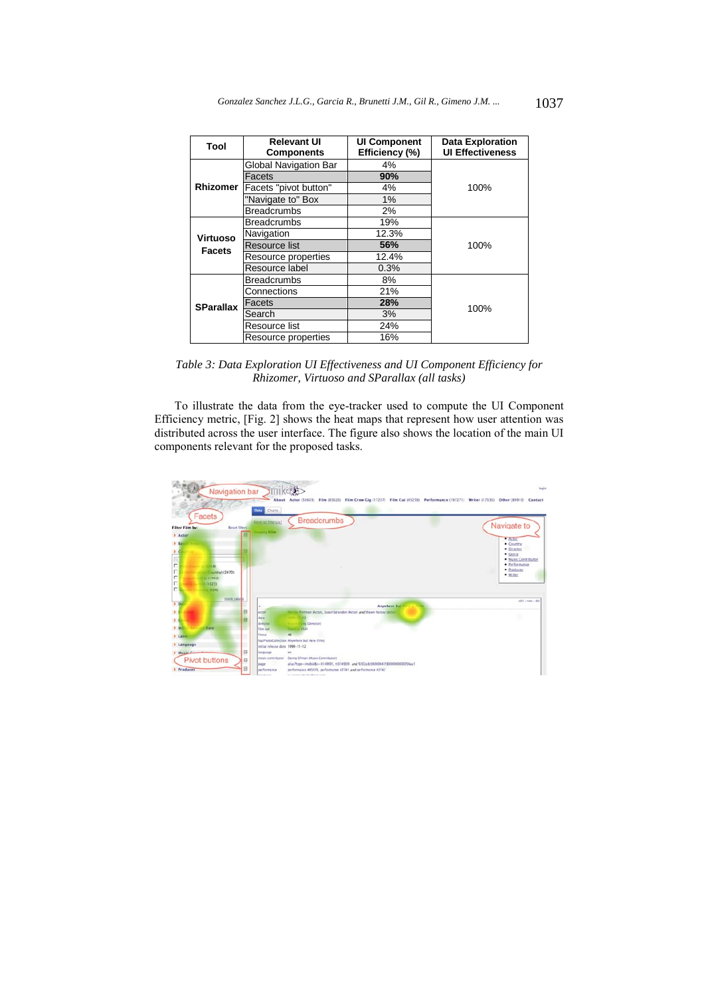| Tool             | <b>Relevant UI</b><br><b>Components</b> | <b>UI Component</b><br>Efficiency (%) | <b>Data Exploration</b><br><b>UI Effectiveness</b> |  |
|------------------|-----------------------------------------|---------------------------------------|----------------------------------------------------|--|
|                  | Global Navigation Bar                   | 4%                                    |                                                    |  |
|                  | Facets                                  | 90%                                   |                                                    |  |
| <b>Rhizomer</b>  | Facets "pivot button"                   | 4%                                    | 100%                                               |  |
|                  | "Navigate to" Box                       | $1\%$                                 |                                                    |  |
|                  | <b>Breadcrumbs</b>                      | 2%                                    |                                                    |  |
|                  | <b>Breadcrumbs</b>                      | 19%                                   |                                                    |  |
| <b>Virtuoso</b>  | Navigation                              | 12.3%                                 | 100%                                               |  |
| <b>Facets</b>    | Resource list                           | 56%                                   |                                                    |  |
|                  | Resource properties                     | 12.4%                                 |                                                    |  |
|                  | Resource label                          | 0.3%                                  |                                                    |  |
|                  | <b>Breadcrumbs</b>                      | 8%                                    |                                                    |  |
|                  | Connections                             | 21%                                   |                                                    |  |
| <b>SParallax</b> | Facets                                  | 28%                                   |                                                    |  |
|                  | Search                                  | 3%                                    | 100%                                               |  |
|                  | Resource list                           | 24%                                   |                                                    |  |
|                  | Resource properties                     | 16%                                   |                                                    |  |

*Table 3: Data Exploration UI Effectiveness and UI Component Efficiency for Rhizomer, Virtuoso and SParallax (all tasks)* 

To illustrate the data from the eye-tracker used to compute the UI Component Efficiency metric, [Fig. 2] shows the heat maps that represent how user attention was distributed across the user interface. The figure also shows the location of the main UI components relevant for the proposed tasks.

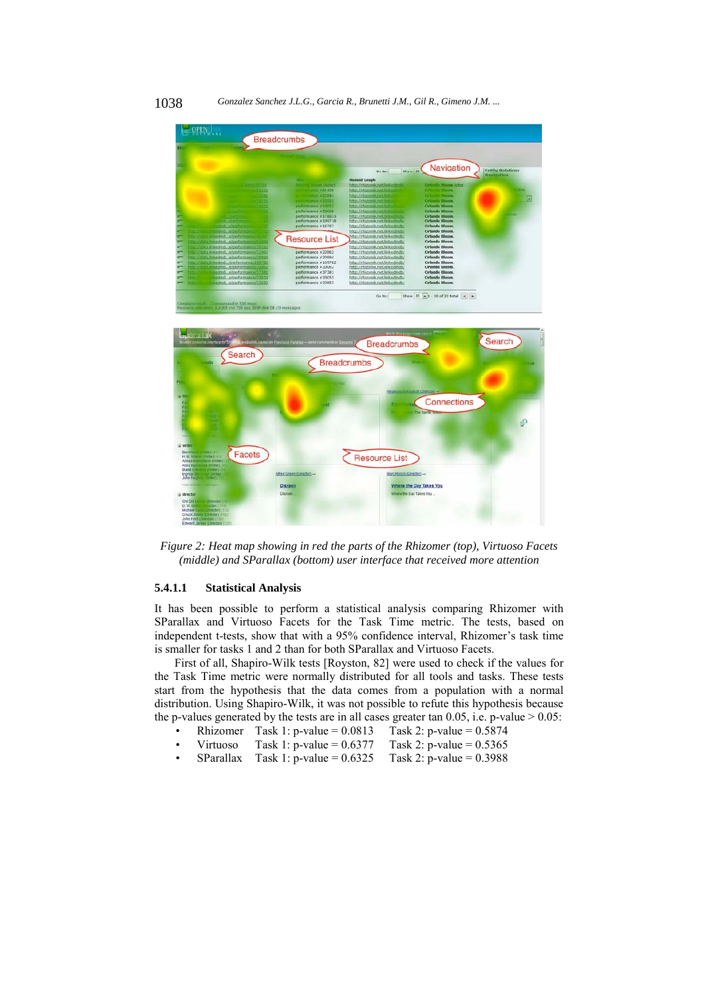

*Figure 2: Heat map showing in red the parts of the Rhizomer (top), Virtuoso Facets (middle) and SParallax (bottom) user interface that received more attention* 

#### **5.4.1.1 Statistical Analysis**

It has been possible to perform a statistical analysis comparing Rhizomer with SParallax and Virtuoso Facets for the Task Time metric. The tests, based on independent t-tests, show that with a 95% confidence interval, Rhizomer's task time is smaller for tasks 1 and 2 than for both SParallax and Virtuoso Facets.

First of all, Shapiro-Wilk tests [Royston, 82] were used to check if the values for the Task Time metric were normally distributed for all tools and tasks. These tests start from the hypothesis that the data comes from a population with a normal distribution. Using Shapiro-Wilk, it was not possible to refute this hypothesis because the p-values generated by the tests are in all cases greater tan  $0.05$ , i.e. p-value  $> 0.05$ :

- Rhizomer Task 1: p-value =  $0.0813$  Task 2: p-value =  $0.5874$
- Virtuoso Task 1: p-value =  $0.6377$  Task 2: p-value =  $0.5365$
- SParallax Task 1: p-value =  $0.6325$  Task 2: p-value =  $0.3988$

1038 *Gonzalez Sanchez J.L.G., Garcia R., Brunetti J.M., Gil R., Gimeno J.M. ...*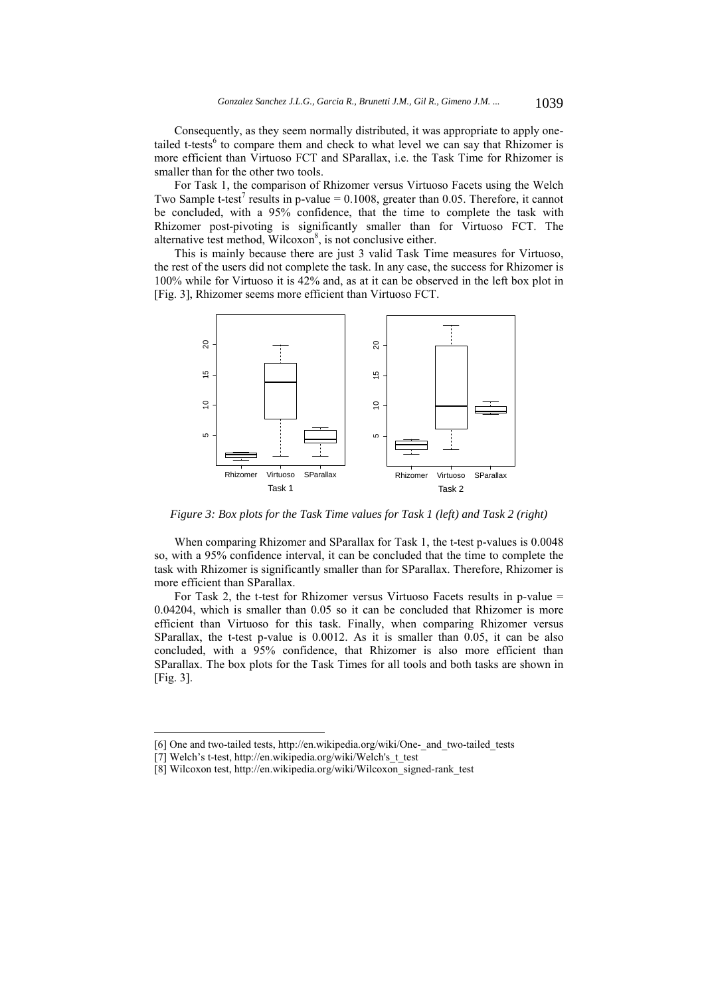Consequently, as they seem normally distributed, it was appropriate to apply onetailed t-tests<sup>6</sup> to compare them and check to what level we can say that Rhizomer is more efficient than Virtuoso FCT and SParallax, i.e. the Task Time for Rhizomer is smaller than for the other two tools.

For Task 1, the comparison of Rhizomer versus Virtuoso Facets using the Welch Two Sample t-test<sup>7</sup> results in p-value =  $0.1008$ , greater than 0.05. Therefore, it cannot be concluded, with a 95% confidence, that the time to complete the task with Rhizomer post-pivoting is significantly smaller than for Virtuoso FCT. The alternative test method, Wilcoxon<sup>8</sup>, is not conclusive either.

This is mainly because there are just 3 valid Task Time measures for Virtuoso, the rest of the users did not complete the task. In any case, the success for Rhizomer is 100% while for Virtuoso it is 42% and, as at it can be observed in the left box plot in [Fig. 3], Rhizomer seems more efficient than Virtuoso FCT.



*Figure 3: Box plots for the Task Time values for Task 1 (left) and Task 2 (right)* 

When comparing Rhizomer and SParallax for Task 1, the t-test p-values is 0.0048 so, with a 95% confidence interval, it can be concluded that the time to complete the task with Rhizomer is significantly smaller than for SParallax. Therefore, Rhizomer is more efficient than SParallax.

For Task 2, the t-test for Rhizomer versus Virtuoso Facets results in p-value = 0.04204, which is smaller than 0.05 so it can be concluded that Rhizomer is more efficient than Virtuoso for this task. Finally, when comparing Rhizomer versus SParallax, the t-test p-value is 0.0012. As it is smaller than 0.05, it can be also concluded, with a 95% confidence, that Rhizomer is also more efficient than SParallax. The box plots for the Task Times for all tools and both tasks are shown in [Fig. 3].

l

<sup>[6]</sup> One and two-tailed tests, http://en.wikipedia.org/wiki/One- and two-tailed tests

<sup>[7]</sup> Welch's t-test, http://en.wikipedia.org/wiki/Welch's\_t\_test

<sup>[8]</sup> Wilcoxon test, http://en.wikipedia.org/wiki/Wilcoxon\_signed-rank\_test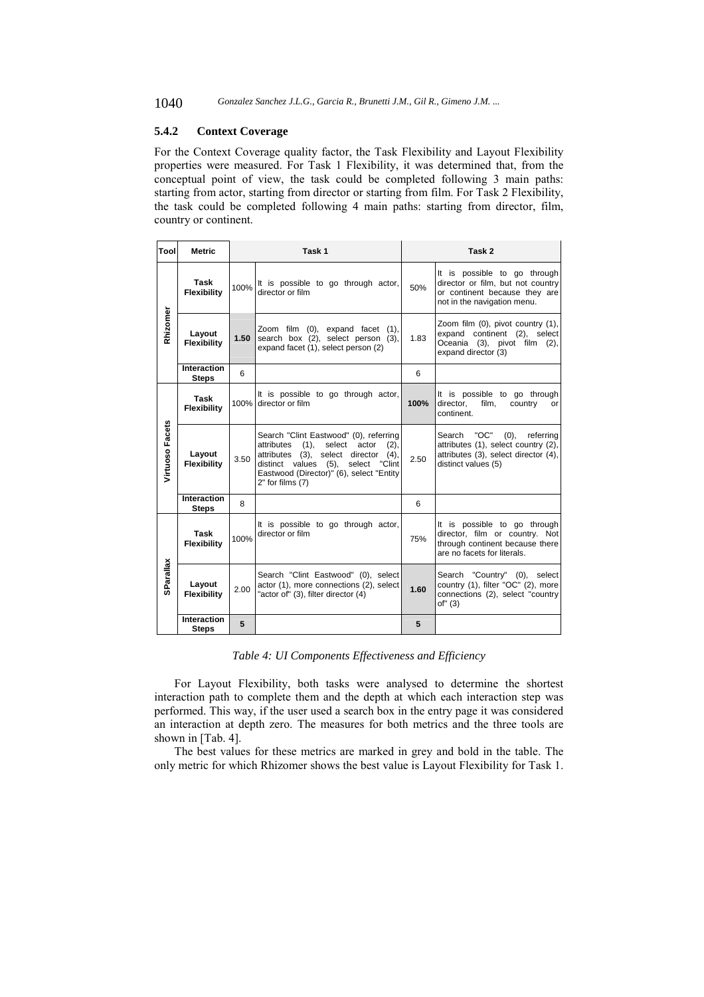## **5.4.2 Context Coverage**

For the Context Coverage quality factor, the Task Flexibility and Layout Flexibility properties were measured. For Task 1 Flexibility, it was determined that, from the conceptual point of view, the task could be completed following 3 main paths: starting from actor, starting from director or starting from film. For Task 2 Flexibility, the task could be completed following 4 main paths: starting from director, film, country or continent.

| Tool            | <b>Metric</b>                | Task 1 |                                                                                                                                                                                                                                                 | Task 2 |                                                                                                                                           |  |
|-----------------|------------------------------|--------|-------------------------------------------------------------------------------------------------------------------------------------------------------------------------------------------------------------------------------------------------|--------|-------------------------------------------------------------------------------------------------------------------------------------------|--|
| Rhizomer        | Task<br><b>Flexibility</b>   | 100%   | It is possible to go through actor,<br>director or film                                                                                                                                                                                         | 50%    | It is possible to go through<br>director or film, but not country<br>or continent because they are<br>not in the navigation menu.         |  |
|                 | Layout<br><b>Flexibility</b> | 1.50   | Zoom film (0), expand facet (1),<br>search box (2), select person (3),<br>expand facet (1), select person (2)                                                                                                                                   | 1.83   | Zoom film (0), pivot country (1),<br>expand continent (2), select<br>Oceania (3), pivot film (2),<br>expand director (3)                  |  |
|                 | Interaction<br><b>Steps</b>  | 6      |                                                                                                                                                                                                                                                 | 6      |                                                                                                                                           |  |
| Virtuoso Facets | Task<br><b>Flexibility</b>   |        | It is possible to go through actor,<br>100% director or film                                                                                                                                                                                    | 100%   | It is possible to go through<br>director,<br>film,<br>country<br>or<br>continent.                                                         |  |
|                 | Layout<br>Flexibility        | 3.50   | Search "Clint Eastwood" (0), referring<br>attributes (1),<br>select<br>actor<br>(2),<br>attributes (3), select director<br>(4),<br>distinct values (5),<br>select<br>"Clint<br>Eastwood (Director)" (6), select "Entity<br>$2"$ for films $(7)$ | 2.50   | "OC"<br>$(0)$ , referring<br>Search<br>attributes (1), select country (2),<br>attributes (3), select director (4),<br>distinct values (5) |  |
|                 | Interaction<br><b>Steps</b>  | 8      |                                                                                                                                                                                                                                                 | 6      |                                                                                                                                           |  |
| SParallax       | Task<br>Flexibility          | 100%   | It is possible to go through actor,<br>director or film                                                                                                                                                                                         | 75%    | It is possible to go through<br>director, film or country. Not<br>through continent because there<br>are no facets for literals.          |  |
|                 | Layout<br><b>Flexibility</b> | 2.00   | Search "Clint Eastwood" (0), select<br>actor (1), more connections (2), select<br>"actor of" (3), filter director (4)                                                                                                                           | 1.60   | "Country" (0), select<br>Search<br>country (1), filter "OC" (2), more<br>connections (2), select "country<br>of" (3)                      |  |
|                 | Interaction<br><b>Steps</b>  | 5      |                                                                                                                                                                                                                                                 | 5      |                                                                                                                                           |  |

*Table 4: UI Components Effectiveness and Efficiency* 

For Layout Flexibility, both tasks were analysed to determine the shortest interaction path to complete them and the depth at which each interaction step was performed. This way, if the user used a search box in the entry page it was considered an interaction at depth zero. The measures for both metrics and the three tools are shown in [Tab. 4].

The best values for these metrics are marked in grey and bold in the table. The only metric for which Rhizomer shows the best value is Layout Flexibility for Task 1.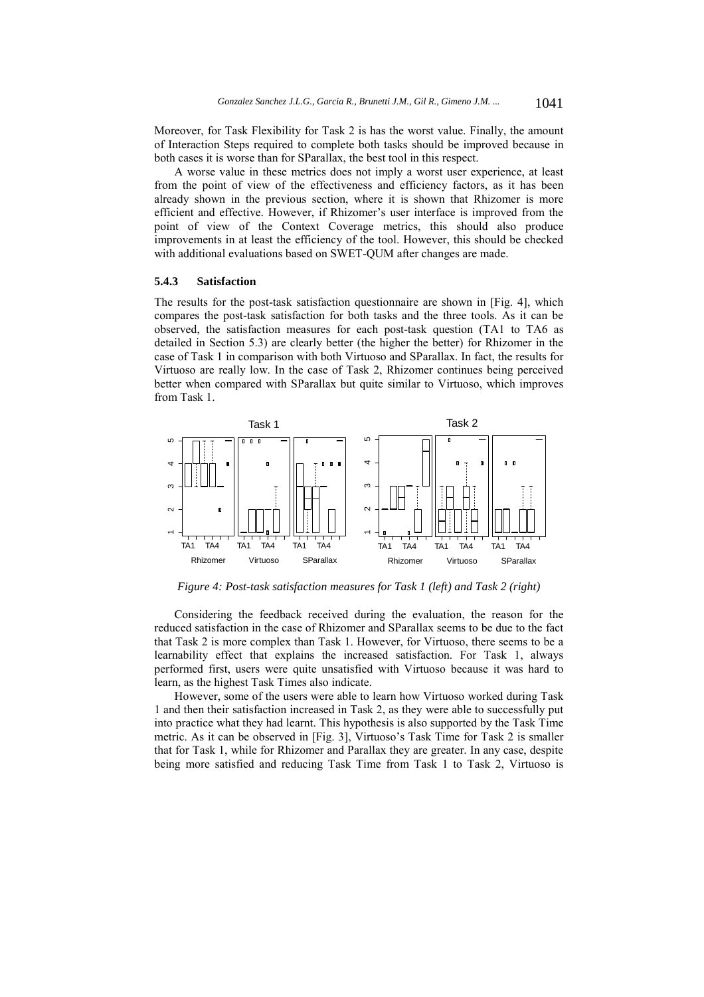Moreover, for Task Flexibility for Task 2 is has the worst value. Finally, the amount of Interaction Steps required to complete both tasks should be improved because in both cases it is worse than for SParallax, the best tool in this respect.

A worse value in these metrics does not imply a worst user experience, at least from the point of view of the effectiveness and efficiency factors, as it has been already shown in the previous section, where it is shown that Rhizomer is more efficient and effective. However, if Rhizomer's user interface is improved from the point of view of the Context Coverage metrics, this should also produce improvements in at least the efficiency of the tool. However, this should be checked with additional evaluations based on SWET-QUM after changes are made.

#### **5.4.3 Satisfaction**

The results for the post-task satisfaction questionnaire are shown in [Fig. 4], which compares the post-task satisfaction for both tasks and the three tools. As it can be observed, the satisfaction measures for each post-task question (TA1 to TA6 as detailed in Section 5.3) are clearly better (the higher the better) for Rhizomer in the case of Task 1 in comparison with both Virtuoso and SParallax. In fact, the results for Virtuoso are really low. In the case of Task 2, Rhizomer continues being perceived better when compared with SParallax but quite similar to Virtuoso, which improves from Task 1.



*Figure 4: Post-task satisfaction measures for Task 1 (left) and Task 2 (right)* 

Considering the feedback received during the evaluation, the reason for the reduced satisfaction in the case of Rhizomer and SParallax seems to be due to the fact that Task 2 is more complex than Task 1. However, for Virtuoso, there seems to be a learnability effect that explains the increased satisfaction. For Task 1, always performed first, users were quite unsatisfied with Virtuoso because it was hard to learn, as the highest Task Times also indicate.

However, some of the users were able to learn how Virtuoso worked during Task 1 and then their satisfaction increased in Task 2, as they were able to successfully put into practice what they had learnt. This hypothesis is also supported by the Task Time metric. As it can be observed in [Fig. 3], Virtuoso's Task Time for Task 2 is smaller that for Task 1, while for Rhizomer and Parallax they are greater. In any case, despite being more satisfied and reducing Task Time from Task 1 to Task 2, Virtuoso is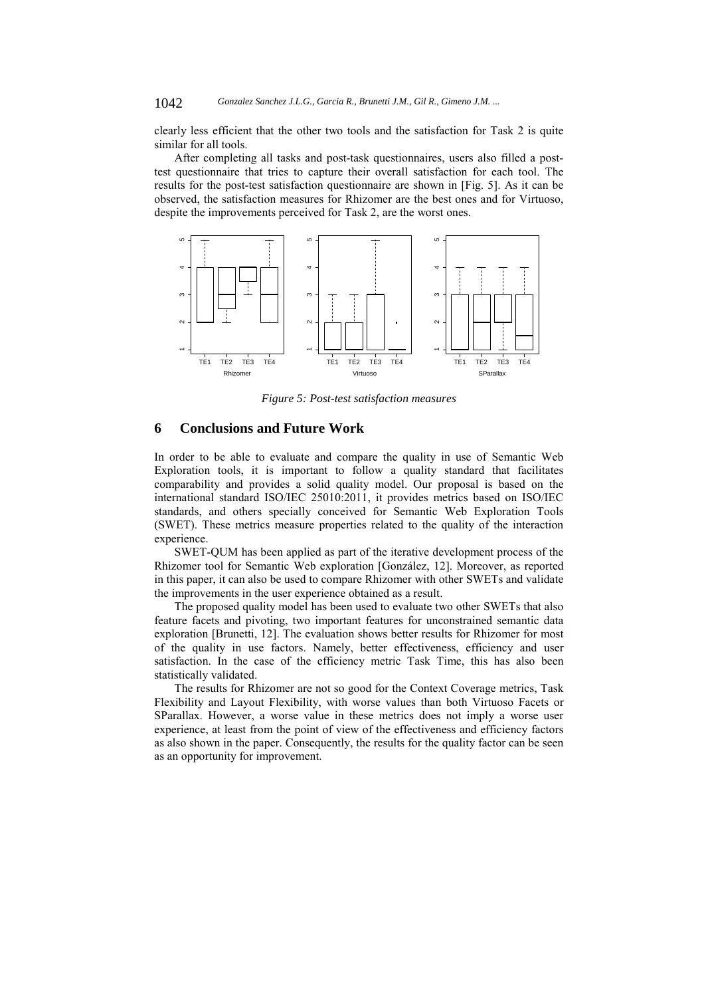clearly less efficient that the other two tools and the satisfaction for Task 2 is quite similar for all tools.

After completing all tasks and post-task questionnaires, users also filled a posttest questionnaire that tries to capture their overall satisfaction for each tool. The results for the post-test satisfaction questionnaire are shown in [Fig. 5]. As it can be observed, the satisfaction measures for Rhizomer are the best ones and for Virtuoso, despite the improvements perceived for Task 2, are the worst ones.



*Figure 5: Post-test satisfaction measures* 

## **6 Conclusions and Future Work**

In order to be able to evaluate and compare the quality in use of Semantic Web Exploration tools, it is important to follow a quality standard that facilitates comparability and provides a solid quality model. Our proposal is based on the international standard ISO/IEC 25010:2011, it provides metrics based on ISO/IEC standards, and others specially conceived for Semantic Web Exploration Tools (SWET). These metrics measure properties related to the quality of the interaction experience.

SWET-QUM has been applied as part of the iterative development process of the Rhizomer tool for Semantic Web exploration [González, 12]. Moreover, as reported in this paper, it can also be used to compare Rhizomer with other SWETs and validate the improvements in the user experience obtained as a result.

The proposed quality model has been used to evaluate two other SWETs that also feature facets and pivoting, two important features for unconstrained semantic data exploration [Brunetti, 12]. The evaluation shows better results for Rhizomer for most of the quality in use factors. Namely, better effectiveness, efficiency and user satisfaction. In the case of the efficiency metric Task Time, this has also been statistically validated.

The results for Rhizomer are not so good for the Context Coverage metrics, Task Flexibility and Layout Flexibility, with worse values than both Virtuoso Facets or SParallax. However, a worse value in these metrics does not imply a worse user experience, at least from the point of view of the effectiveness and efficiency factors as also shown in the paper. Consequently, the results for the quality factor can be seen as an opportunity for improvement.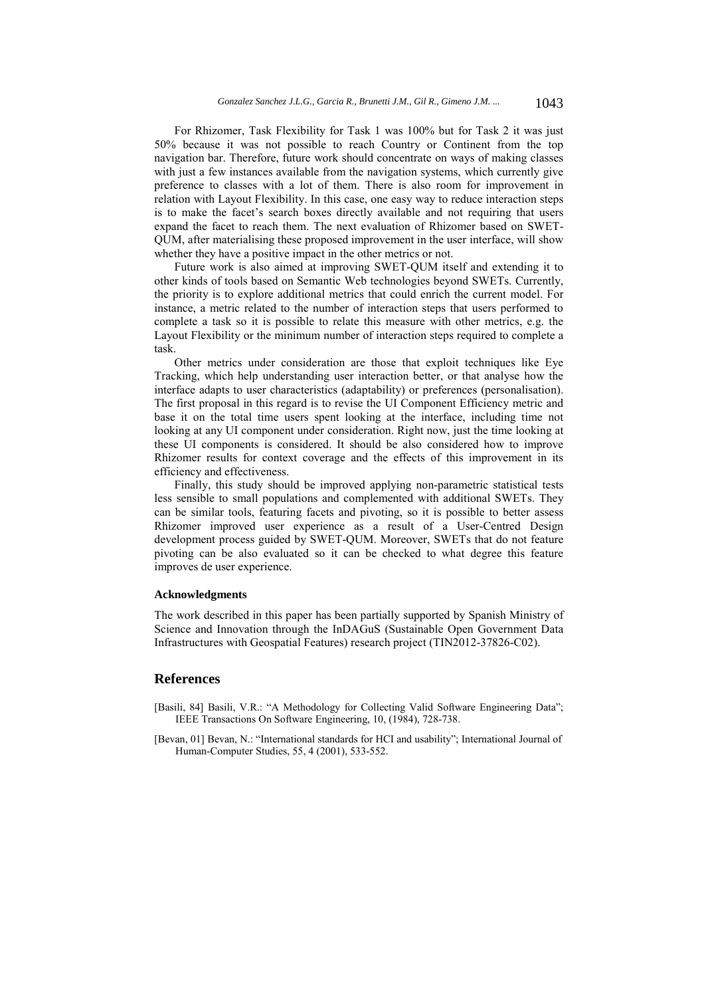For Rhizomer, Task Flexibility for Task 1 was 100% but for Task 2 it was just 50% because it was not possible to reach Country or Continent from the top navigation bar. Therefore, future work should concentrate on ways of making classes with just a few instances available from the navigation systems, which currently give preference to classes with a lot of them. There is also room for improvement in relation with Layout Flexibility. In this case, one easy way to reduce interaction steps is to make the facet's search boxes directly available and not requiring that users expand the facet to reach them. The next evaluation of Rhizomer based on SWET-QUM, after materialising these proposed improvement in the user interface, will show whether they have a positive impact in the other metrics or not.

Future work is also aimed at improving SWET-QUM itself and extending it to other kinds of tools based on Semantic Web technologies beyond SWETs. Currently, the priority is to explore additional metrics that could enrich the current model. For instance, a metric related to the number of interaction steps that users performed to complete a task so it is possible to relate this measure with other metrics, e.g. the Layout Flexibility or the minimum number of interaction steps required to complete a task.

Other metrics under consideration are those that exploit techniques like Eye Tracking, which help understanding user interaction better, or that analyse how the interface adapts to user characteristics (adaptability) or preferences (personalisation). The first proposal in this regard is to revise the UI Component Efficiency metric and base it on the total time users spent looking at the interface, including time not looking at any UI component under consideration. Right now, just the time looking at these UI components is considered. It should be also considered how to improve Rhizomer results for context coverage and the effects of this improvement in its efficiency and effectiveness.

Finally, this study should be improved applying non-parametric statistical tests less sensible to small populations and complemented with additional SWETs. They can be similar tools, featuring facets and pivoting, so it is possible to better assess Rhizomer improved user experience as a result of a User-Centred Design development process guided by SWET-QUM. Moreover, SWETs that do not feature pivoting can be also evaluated so it can be checked to what degree this feature improves de user experience.

#### **Acknowledgments**

The work described in this paper has been partially supported by Spanish Ministry of Science and Innovation through the InDAGuS (Sustainable Open Government Data Infrastructures with Geospatial Features) research project (TIN2012-37826-C02).

## **References**

- [Basili, 84] Basili, V.R.: "A Methodology for Collecting Valid Software Engineering Data"; IEEE Transactions On Software Engineering, 10, (1984), 728-738.
- [Bevan, 01] Bevan, N.: "International standards for HCI and usability"; International Journal of Human-Computer Studies, 55, 4 (2001), 533-552.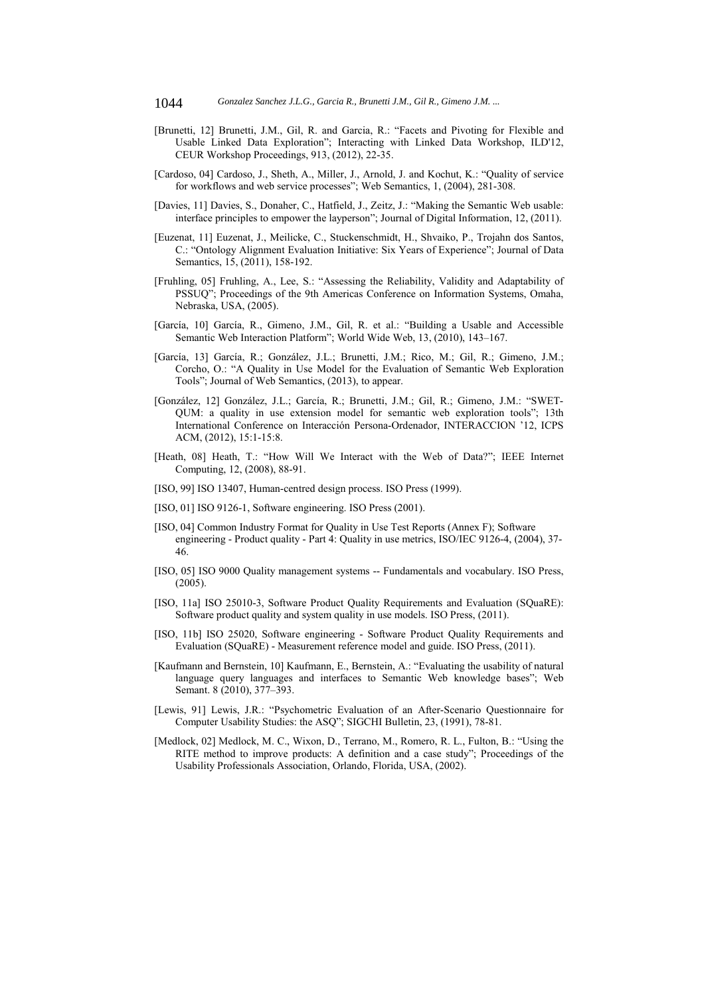- [Brunetti, 12] Brunetti, J.M., Gil, R. and Garcia, R.: "Facets and Pivoting for Flexible and Usable Linked Data Exploration"; Interacting with Linked Data Workshop, ILD'12, CEUR Workshop Proceedings, 913, (2012), 22-35.
- [Cardoso, 04] Cardoso, J., Sheth, A., Miller, J., Arnold, J. and Kochut, K.: "Quality of service for workflows and web service processes"; Web Semantics, 1, (2004), 281-308.
- [Davies, 11] Davies, S., Donaher, C., Hatfield, J., Zeitz, J.: "Making the Semantic Web usable: interface principles to empower the layperson"; Journal of Digital Information, 12, (2011).
- [Euzenat, 11] Euzenat, J., Meilicke, C., Stuckenschmidt, H., Shvaiko, P., Trojahn dos Santos, C.: "Ontology Alignment Evaluation Initiative: Six Years of Experience"; Journal of Data Semantics, 15, (2011), 158-192.
- [Fruhling, 05] Fruhling, A., Lee, S.: "Assessing the Reliability, Validity and Adaptability of PSSUQ"; Proceedings of the 9th Americas Conference on Information Systems, Omaha, Nebraska, USA, (2005).
- [García, 10] García, R., Gimeno, J.M., Gil, R. et al.: "Building a Usable and Accessible Semantic Web Interaction Platform"; World Wide Web, 13, (2010), 143–167.
- [García, 13] García, R.; González, J.L.; Brunetti, J.M.; Rico, M.; Gil, R.; Gimeno, J.M.; Corcho, O.: "A Quality in Use Model for the Evaluation of Semantic Web Exploration Tools"; Journal of Web Semantics, (2013), to appear.
- [González, 12] González, J.L.; García, R.; Brunetti, J.M.; Gil, R.; Gimeno, J.M.: "SWET-QUM: a quality in use extension model for semantic web exploration tools"; 13th International Conference on Interacción Persona-Ordenador, INTERACCION '12, ICPS ACM, (2012), 15:1-15:8.
- [Heath, 08] Heath, T.: "How Will We Interact with the Web of Data?"; IEEE Internet Computing, 12, (2008), 88-91.
- [ISO, 99] ISO 13407, Human-centred design process. ISO Press (1999).
- [ISO, 01] ISO 9126-1, Software engineering. ISO Press (2001).
- [ISO, 04] Common Industry Format for Quality in Use Test Reports (Annex F); Software engineering - Product quality - Part 4: Quality in use metrics, ISO/IEC 9126-4, (2004), 37- 46.
- [ISO, 05] ISO 9000 Quality management systems -- Fundamentals and vocabulary. ISO Press, (2005).
- [ISO, 11a] ISO 25010-3, Software Product Quality Requirements and Evaluation (SQuaRE): Software product quality and system quality in use models. ISO Press, (2011).
- [ISO, 11b] ISO 25020, Software engineering Software Product Quality Requirements and Evaluation (SQuaRE) - Measurement reference model and guide. ISO Press, (2011).
- [Kaufmann and Bernstein, 10] Kaufmann, E., Bernstein, A.: "Evaluating the usability of natural language query languages and interfaces to Semantic Web knowledge bases"; Web Semant. 8 (2010), 377–393.
- [Lewis, 91] Lewis, J.R.: "Psychometric Evaluation of an After-Scenario Questionnaire for Computer Usability Studies: the ASQ"; SIGCHI Bulletin, 23, (1991), 78-81.
- [Medlock, 02] Medlock, M. C., Wixon, D., Terrano, M., Romero, R. L., Fulton, B.: "Using the RITE method to improve products: A definition and a case study"; Proceedings of the Usability Professionals Association, Orlando, Florida, USA, (2002).